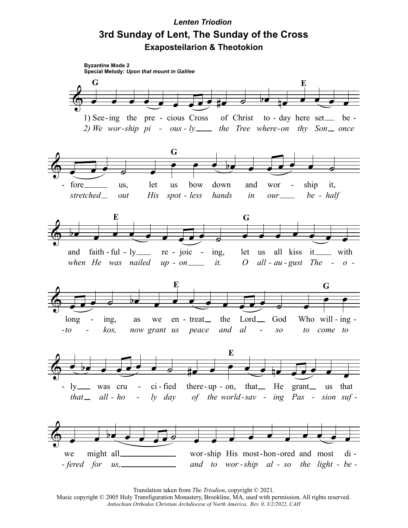## *Lenten Triodion* **3rd Sunday of Lent, The Sunday of the Cross Exaposteilarion & Theotokion**



Translation taken from *The Triodion*, copyright © 2021.

Music copyright © 2005 Holy Transfiguration Monastery, Brookline, MA, used with permission. All rights reserved. *Antiochian Orthodox Christian Archdiocese of North America, Rev. 0, 3/2/2022, CAH*